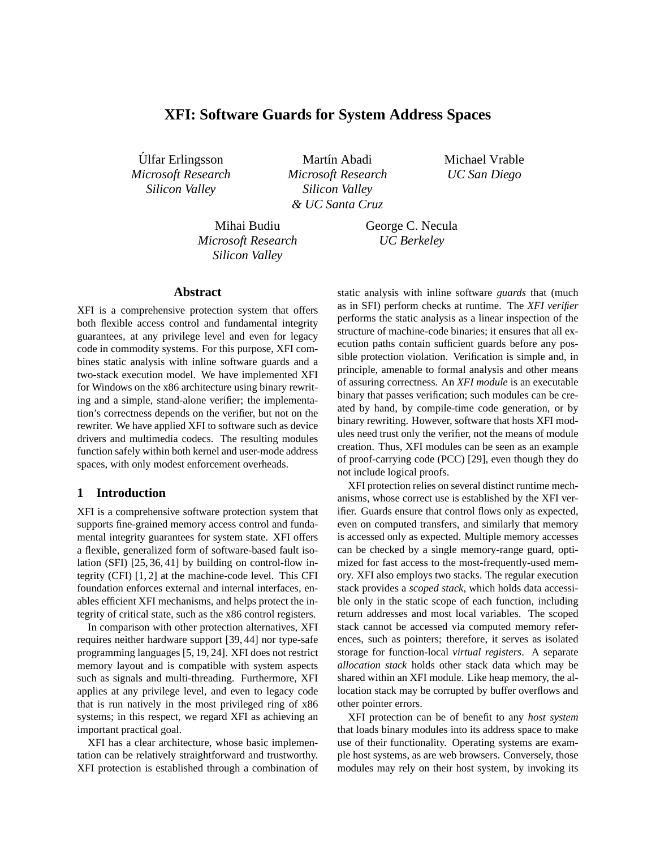# **XFI: Software Guards for System Address Spaces**

Ulfar Erlingsson ´ *Microsoft Research Silicon Valley*

Martín Abadi *Microsoft Research Silicon Valley & UC Santa Cruz*

Michael Vrable *UC San Diego*

Mihai Budiu *Microsoft Research Silicon Valley*

George C. Necula *UC Berkeley*

#### **Abstract**

XFI is a comprehensive protection system that offers both flexible access control and fundamental integrity guarantees, at any privilege level and even for legacy code in commodity systems. For this purpose, XFI combines static analysis with inline software guards and a two-stack execution model. We have implemented XFI for Windows on the x86 architecture using binary rewriting and a simple, stand-alone verifier; the implementation's correctness depends on the verifier, but not on the rewriter. We have applied XFI to software such as device drivers and multimedia codecs. The resulting modules function safely within both kernel and user-mode address spaces, with only modest enforcement overheads.

#### **1 Introduction**

XFI is a comprehensive software protection system that supports fine-grained memory access control and fundamental integrity guarantees for system state. XFI offers a flexible, generalized form of software-based fault isolation (SFI) [25, 36, 41] by building on control-flow integrity (CFI) [1, 2] at the machine-code level. This CFI foundation enforces external and internal interfaces, enables efficient XFI mechanisms, and helps protect the integrity of critical state, such as the x86 control registers.

In comparison with other protection alternatives, XFI requires neither hardware support [39, 44] nor type-safe programming languages [5, 19, 24]. XFI does not restrict memory layout and is compatible with system aspects such as signals and multi-threading. Furthermore, XFI applies at any privilege level, and even to legacy code that is run natively in the most privileged ring of x86 systems; in this respect, we regard XFI as achieving an important practical goal.

XFI has a clear architecture, whose basic implementation can be relatively straightforward and trustworthy. XFI protection is established through a combination of static analysis with inline software *guards* that (much as in SFI) perform checks at runtime. The *XFI verifier* performs the static analysis as a linear inspection of the structure of machine-code binaries; it ensures that all execution paths contain sufficient guards before any possible protection violation. Verification is simple and, in principle, amenable to formal analysis and other means of assuring correctness. An *XFI module* is an executable binary that passes verification; such modules can be created by hand, by compile-time code generation, or by binary rewriting. However, software that hosts XFI modules need trust only the verifier, not the means of module creation. Thus, XFI modules can be seen as an example of proof-carrying code (PCC) [29], even though they do not include logical proofs.

XFI protection relies on several distinct runtime mechanisms, whose correct use is established by the XFI verifier. Guards ensure that control flows only as expected, even on computed transfers, and similarly that memory is accessed only as expected. Multiple memory accesses can be checked by a single memory-range guard, optimized for fast access to the most-frequently-used memory. XFI also employs two stacks. The regular execution stack provides a *scoped stack*, which holds data accessible only in the static scope of each function, including return addresses and most local variables. The scoped stack cannot be accessed via computed memory references, such as pointers; therefore, it serves as isolated storage for function-local *virtual registers*. A separate *allocation stack* holds other stack data which may be shared within an XFI module. Like heap memory, the allocation stack may be corrupted by buffer overflows and other pointer errors.

XFI protection can be of benefit to any *host system* that loads binary modules into its address space to make use of their functionality. Operating systems are example host systems, as are web browsers. Conversely, those modules may rely on their host system, by invoking its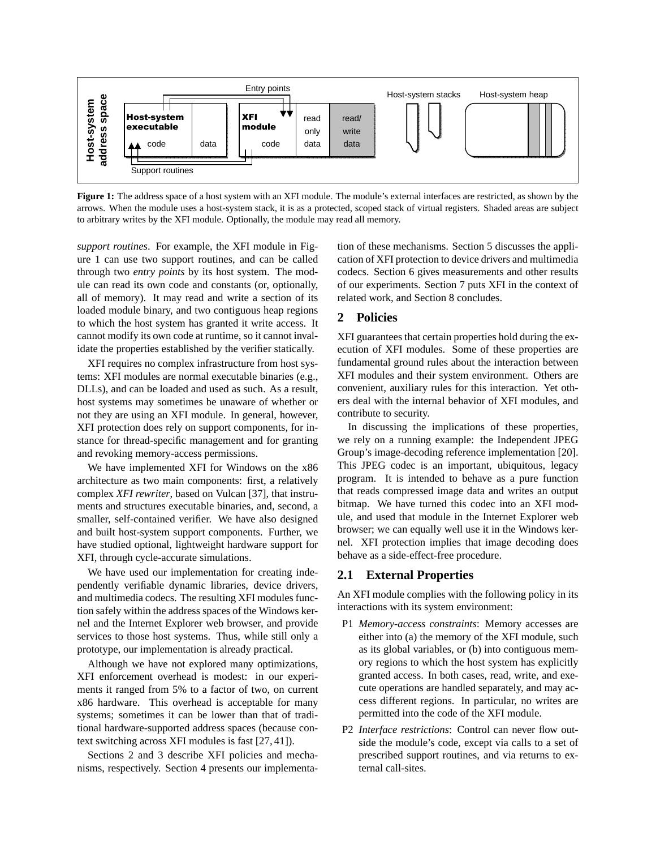

**Figure 1:** The address space of a host system with an XFI module. The module's external interfaces are restricted, as shown by the arrows. When the module uses a host-system stack, it is as a protected, scoped stack of virtual registers. Shaded areas are subject to arbitrary writes by the XFI module. Optionally, the module may read all memory.

*support routines*. For example, the XFI module in Figure 1 can use two support routines, and can be called through two *entry points* by its host system. The module can read its own code and constants (or, optionally, all of memory). It may read and write a section of its loaded module binary, and two contiguous heap regions to which the host system has granted it write access. It cannot modify its own code at runtime, so it cannot invalidate the properties established by the verifier statically.

XFI requires no complex infrastructure from host systems: XFI modules are normal executable binaries (e.g., DLLs), and can be loaded and used as such. As a result, host systems may sometimes be unaware of whether or not they are using an XFI module. In general, however, XFI protection does rely on support components, for instance for thread-specific management and for granting and revoking memory-access permissions.

We have implemented XFI for Windows on the x86 architecture as two main components: first, a relatively complex *XFI rewriter*, based on Vulcan [37], that instruments and structures executable binaries, and, second, a smaller, self-contained verifier. We have also designed and built host-system support components. Further, we have studied optional, lightweight hardware support for XFI, through cycle-accurate simulations.

We have used our implementation for creating independently verifiable dynamic libraries, device drivers, and multimedia codecs. The resulting XFI modules function safely within the address spaces of the Windows kernel and the Internet Explorer web browser, and provide services to those host systems. Thus, while still only a prototype, our implementation is already practical.

Although we have not explored many optimizations, XFI enforcement overhead is modest: in our experiments it ranged from 5% to a factor of two, on current x86 hardware. This overhead is acceptable for many systems; sometimes it can be lower than that of traditional hardware-supported address spaces (because context switching across XFI modules is fast [27, 41]).

Sections 2 and 3 describe XFI policies and mechanisms, respectively. Section 4 presents our implementation of these mechanisms. Section 5 discusses the application of XFI protection to device drivers and multimedia codecs. Section 6 gives measurements and other results of our experiments. Section 7 puts XFI in the context of related work, and Section 8 concludes.

### **2 Policies**

XFI guarantees that certain properties hold during the execution of XFI modules. Some of these properties are fundamental ground rules about the interaction between XFI modules and their system environment. Others are convenient, auxiliary rules for this interaction. Yet others deal with the internal behavior of XFI modules, and contribute to security.

In discussing the implications of these properties, we rely on a running example: the Independent JPEG Group's image-decoding reference implementation [20]. This JPEG codec is an important, ubiquitous, legacy program. It is intended to behave as a pure function that reads compressed image data and writes an output bitmap. We have turned this codec into an XFI module, and used that module in the Internet Explorer web browser; we can equally well use it in the Windows kernel. XFI protection implies that image decoding does behave as a side-effect-free procedure.

### **2.1 External Properties**

An XFI module complies with the following policy in its interactions with its system environment:

- P1 *Memory-access constraints*: Memory accesses are either into (a) the memory of the XFI module, such as its global variables, or (b) into contiguous memory regions to which the host system has explicitly granted access. In both cases, read, write, and execute operations are handled separately, and may access different regions. In particular, no writes are permitted into the code of the XFI module.
- P2 *Interface restrictions*: Control can never flow outside the module's code, except via calls to a set of prescribed support routines, and via returns to external call-sites.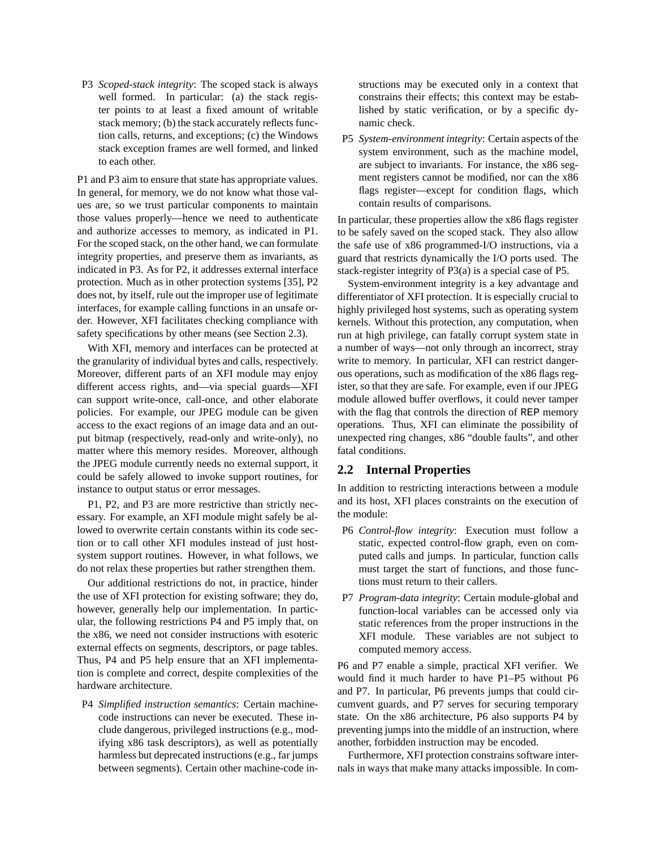P3 *Scoped-stack integrity*: The scoped stack is always well formed. In particular: (a) the stack register points to at least a fixed amount of writable stack memory; (b) the stack accurately reflects function calls, returns, and exceptions; (c) the Windows stack exception frames are well formed, and linked to each other.

P1 and P3 aim to ensure that state has appropriate values. In general, for memory, we do not know what those values are, so we trust particular components to maintain those values properly—hence we need to authenticate and authorize accesses to memory, as indicated in P1. For the scoped stack, on the other hand, we can formulate integrity properties, and preserve them as invariants, as indicated in P3. As for P2, it addresses external interface protection. Much as in other protection systems [35], P2 does not, by itself, rule out the improper use of legitimate interfaces, for example calling functions in an unsafe order. However, XFI facilitates checking compliance with safety specifications by other means (see Section 2.3).

With XFI, memory and interfaces can be protected at the granularity of individual bytes and calls, respectively. Moreover, different parts of an XFI module may enjoy different access rights, and—via special guards—XFI can support write-once, call-once, and other elaborate policies. For example, our JPEG module can be given access to the exact regions of an image data and an output bitmap (respectively, read-only and write-only), no matter where this memory resides. Moreover, although the JPEG module currently needs no external support, it could be safely allowed to invoke support routines, for instance to output status or error messages.

P1, P2, and P3 are more restrictive than strictly necessary. For example, an XFI module might safely be allowed to overwrite certain constants within its code section or to call other XFI modules instead of just hostsystem support routines. However, in what follows, we do not relax these properties but rather strengthen them.

Our additional restrictions do not, in practice, hinder the use of XFI protection for existing software; they do, however, generally help our implementation. In particular, the following restrictions P4 and P5 imply that, on the x86, we need not consider instructions with esoteric external effects on segments, descriptors, or page tables. Thus, P4 and P5 help ensure that an XFI implementation is complete and correct, despite complexities of the hardware architecture.

P4 *Simplified instruction semantics*: Certain machinecode instructions can never be executed. These include dangerous, privileged instructions (e.g., modifying x86 task descriptors), as well as potentially harmless but deprecated instructions (e.g., far jumps between segments). Certain other machine-code instructions may be executed only in a context that constrains their effects; this context may be established by static verification, or by a specific dynamic check.

P5 *System-environment integrity*: Certain aspects of the system environment, such as the machine model, are subject to invariants. For instance, the x86 segment registers cannot be modified, nor can the x86 flags register—except for condition flags, which contain results of comparisons.

In particular, these properties allow the x86 flags register to be safely saved on the scoped stack. They also allow the safe use of x86 programmed-I/O instructions, via a guard that restricts dynamically the I/O ports used. The stack-register integrity of P3(a) is a special case of P5.

System-environment integrity is a key advantage and differentiator of XFI protection. It is especially crucial to highly privileged host systems, such as operating system kernels. Without this protection, any computation, when run at high privilege, can fatally corrupt system state in a number of ways—not only through an incorrect, stray write to memory. In particular, XFI can restrict dangerous operations, such as modification of the x86 flags register, so that they are safe. For example, even if our JPEG module allowed buffer overflows, it could never tamper with the flag that controls the direction of REP memory operations. Thus, XFI can eliminate the possibility of unexpected ring changes, x86 "double faults", and other fatal conditions.

## **2.2 Internal Properties**

In addition to restricting interactions between a module and its host, XFI places constraints on the execution of the module:

- P6 *Control-flow integrity*: Execution must follow a static, expected control-flow graph, even on computed calls and jumps. In particular, function calls must target the start of functions, and those functions must return to their callers.
- P7 *Program-data integrity*: Certain module-global and function-local variables can be accessed only via static references from the proper instructions in the XFI module. These variables are not subject to computed memory access.

P6 and P7 enable a simple, practical XFI verifier. We would find it much harder to have P1–P5 without P6 and P7. In particular, P6 prevents jumps that could circumvent guards, and P7 serves for securing temporary state. On the x86 architecture, P6 also supports P4 by preventing jumps into the middle of an instruction, where another, forbidden instruction may be encoded.

Furthermore, XFI protection constrains software internals in ways that make many attacks impossible. In com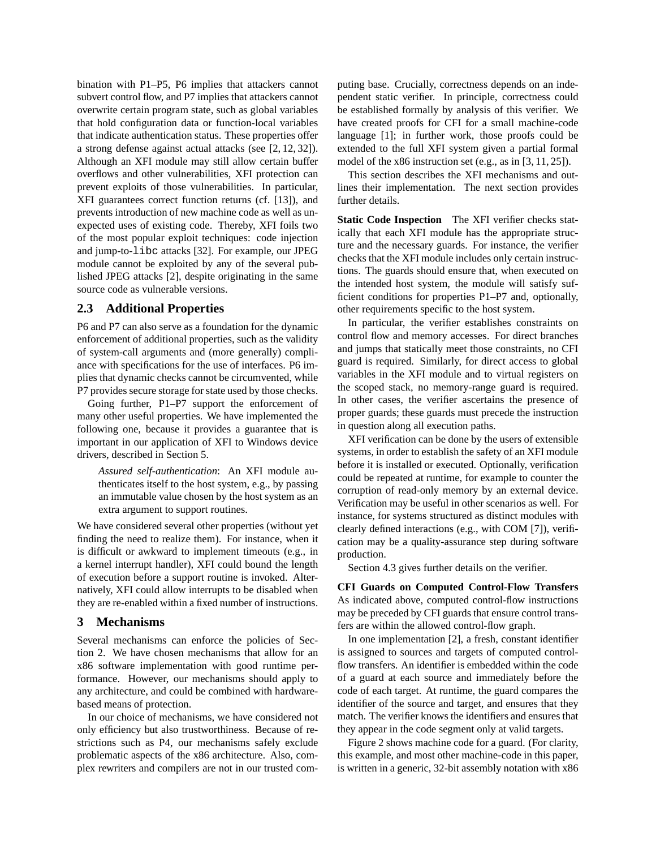bination with P1–P5, P6 implies that attackers cannot subvert control flow, and P7 implies that attackers cannot overwrite certain program state, such as global variables that hold configuration data or function-local variables that indicate authentication status. These properties offer a strong defense against actual attacks (see [2, 12, 32]). Although an XFI module may still allow certain buffer overflows and other vulnerabilities, XFI protection can prevent exploits of those vulnerabilities. In particular, XFI guarantees correct function returns (cf. [13]), and prevents introduction of new machine code as well as unexpected uses of existing code. Thereby, XFI foils two of the most popular exploit techniques: code injection and jump-to-libc attacks [32]. For example, our JPEG module cannot be exploited by any of the several published JPEG attacks [2], despite originating in the same source code as vulnerable versions.

### **2.3 Additional Properties**

P6 and P7 can also serve as a foundation for the dynamic enforcement of additional properties, such as the validity of system-call arguments and (more generally) compliance with specifications for the use of interfaces. P6 implies that dynamic checks cannot be circumvented, while P7 provides secure storage for state used by those checks.

Going further, P1–P7 support the enforcement of many other useful properties. We have implemented the following one, because it provides a guarantee that is important in our application of XFI to Windows device drivers, described in Section 5.

*Assured self-authentication*: An XFI module authenticates itself to the host system, e.g., by passing an immutable value chosen by the host system as an extra argument to support routines.

We have considered several other properties (without yet finding the need to realize them). For instance, when it is difficult or awkward to implement timeouts (e.g., in a kernel interrupt handler), XFI could bound the length of execution before a support routine is invoked. Alternatively, XFI could allow interrupts to be disabled when they are re-enabled within a fixed number of instructions.

#### **3 Mechanisms**

Several mechanisms can enforce the policies of Section 2. We have chosen mechanisms that allow for an x86 software implementation with good runtime performance. However, our mechanisms should apply to any architecture, and could be combined with hardwarebased means of protection.

In our choice of mechanisms, we have considered not only efficiency but also trustworthiness. Because of restrictions such as P4, our mechanisms safely exclude problematic aspects of the x86 architecture. Also, complex rewriters and compilers are not in our trusted computing base. Crucially, correctness depends on an independent static verifier. In principle, correctness could be established formally by analysis of this verifier. We have created proofs for CFI for a small machine-code language [1]; in further work, those proofs could be extended to the full XFI system given a partial formal model of the x86 instruction set (e.g., as in [3, 11, 25]).

This section describes the XFI mechanisms and outlines their implementation. The next section provides further details.

**Static Code Inspection** The XFI verifier checks statically that each XFI module has the appropriate structure and the necessary guards. For instance, the verifier checks that the XFI module includes only certain instructions. The guards should ensure that, when executed on the intended host system, the module will satisfy sufficient conditions for properties P1–P7 and, optionally, other requirements specific to the host system.

In particular, the verifier establishes constraints on control flow and memory accesses. For direct branches and jumps that statically meet those constraints, no CFI guard is required. Similarly, for direct access to global variables in the XFI module and to virtual registers on the scoped stack, no memory-range guard is required. In other cases, the verifier ascertains the presence of proper guards; these guards must precede the instruction in question along all execution paths.

XFI verification can be done by the users of extensible systems, in order to establish the safety of an XFI module before it is installed or executed. Optionally, verification could be repeated at runtime, for example to counter the corruption of read-only memory by an external device. Verification may be useful in other scenarios as well. For instance, for systems structured as distinct modules with clearly defined interactions (e.g., with COM [7]), verification may be a quality-assurance step during software production.

Section 4.3 gives further details on the verifier.

**CFI Guards on Computed Control-Flow Transfers** As indicated above, computed control-flow instructions may be preceded by CFI guards that ensure control transfers are within the allowed control-flow graph.

In one implementation [2], a fresh, constant identifier is assigned to sources and targets of computed controlflow transfers. An identifier is embedded within the code of a guard at each source and immediately before the code of each target. At runtime, the guard compares the identifier of the source and target, and ensures that they match. The verifier knows the identifiers and ensures that they appear in the code segment only at valid targets.

Figure 2 shows machine code for a guard. (For clarity, this example, and most other machine-code in this paper, is written in a generic, 32-bit assembly notation with x86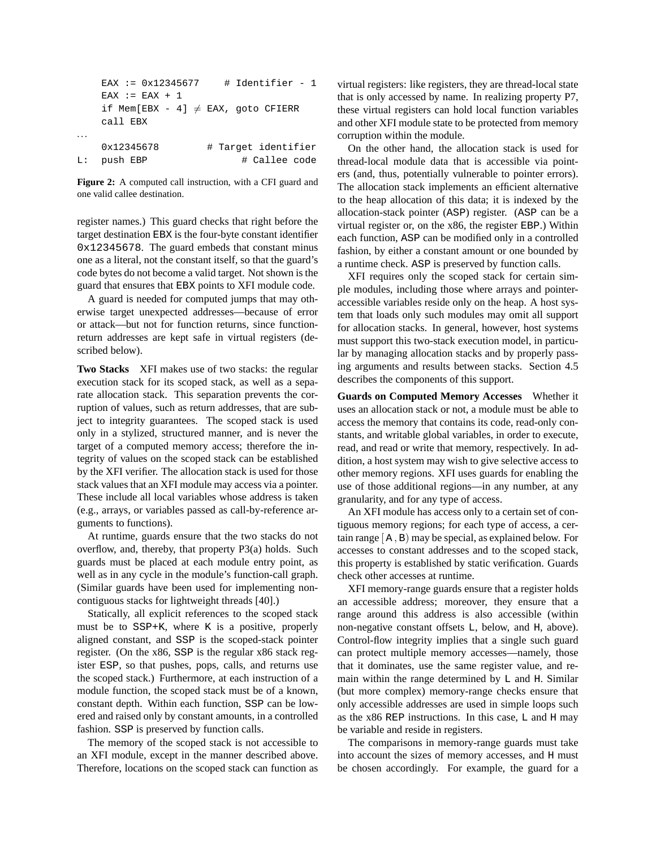| EAX := $0 \times 12345677$              | # Identifier - 1    |
|-----------------------------------------|---------------------|
| $FAX := FAX + 1$                        |                     |
| if Mem[EBX - 4] $\neq$ EAX, goto CFIERR |                     |
| call EBX                                |                     |
|                                         |                     |
| 0x12345678                              | # Target identifier |
| L: push EBP                             | # Callee code       |
|                                         |                     |

**Figure 2:** A computed call instruction, with a CFI guard and one valid callee destination.

register names.) This guard checks that right before the target destination EBX is the four-byte constant identifier 0x12345678. The guard embeds that constant minus one as a literal, not the constant itself, so that the guard's code bytes do not become a valid target. Not shown is the guard that ensures that EBX points to XFI module code.

A guard is needed for computed jumps that may otherwise target unexpected addresses—because of error or attack—but not for function returns, since functionreturn addresses are kept safe in virtual registers (described below).

**Two Stacks** XFI makes use of two stacks: the regular execution stack for its scoped stack, as well as a separate allocation stack. This separation prevents the corruption of values, such as return addresses, that are subject to integrity guarantees. The scoped stack is used only in a stylized, structured manner, and is never the target of a computed memory access; therefore the integrity of values on the scoped stack can be established by the XFI verifier. The allocation stack is used for those stack values that an XFI module may access via a pointer. These include all local variables whose address is taken (e.g., arrays, or variables passed as call-by-reference arguments to functions).

At runtime, guards ensure that the two stacks do not overflow, and, thereby, that property P3(a) holds. Such guards must be placed at each module entry point, as well as in any cycle in the module's function-call graph. (Similar guards have been used for implementing noncontiguous stacks for lightweight threads [40].)

Statically, all explicit references to the scoped stack must be to SSP+K, where K is a positive, properly aligned constant, and SSP is the scoped-stack pointer register. (On the x86, SSP is the regular x86 stack register ESP, so that pushes, pops, calls, and returns use the scoped stack.) Furthermore, at each instruction of a module function, the scoped stack must be of a known, constant depth. Within each function, SSP can be lowered and raised only by constant amounts, in a controlled fashion. SSP is preserved by function calls.

The memory of the scoped stack is not accessible to an XFI module, except in the manner described above. Therefore, locations on the scoped stack can function as virtual registers: like registers, they are thread-local state that is only accessed by name. In realizing property P7, these virtual registers can hold local function variables and other XFI module state to be protected from memory corruption within the module.

On the other hand, the allocation stack is used for thread-local module data that is accessible via pointers (and, thus, potentially vulnerable to pointer errors). The allocation stack implements an efficient alternative to the heap allocation of this data; it is indexed by the allocation-stack pointer (ASP) register. (ASP can be a virtual register or, on the x86, the register EBP.) Within each function, ASP can be modified only in a controlled fashion, by either a constant amount or one bounded by a runtime check. ASP is preserved by function calls.

XFI requires only the scoped stack for certain simple modules, including those where arrays and pointeraccessible variables reside only on the heap. A host system that loads only such modules may omit all support for allocation stacks. In general, however, host systems must support this two-stack execution model, in particular by managing allocation stacks and by properly passing arguments and results between stacks. Section 4.5 describes the components of this support.

**Guards on Computed Memory Accesses** Whether it uses an allocation stack or not, a module must be able to access the memory that contains its code, read-only constants, and writable global variables, in order to execute, read, and read or write that memory, respectively. In addition, a host system may wish to give selective access to other memory regions. XFI uses guards for enabling the use of those additional regions—in any number, at any granularity, and for any type of access.

An XFI module has access only to a certain set of contiguous memory regions; for each type of access, a certain range [ A , B) may be special, as explained below. For accesses to constant addresses and to the scoped stack, this property is established by static verification. Guards check other accesses at runtime.

XFI memory-range guards ensure that a register holds an accessible address; moreover, they ensure that a range around this address is also accessible (within non-negative constant offsets L, below, and H, above). Control-flow integrity implies that a single such guard can protect multiple memory accesses—namely, those that it dominates, use the same register value, and remain within the range determined by L and H. Similar (but more complex) memory-range checks ensure that only accessible addresses are used in simple loops such as the x86 REP instructions. In this case, L and H may be variable and reside in registers.

The comparisons in memory-range guards must take into account the sizes of memory accesses, and H must be chosen accordingly. For example, the guard for a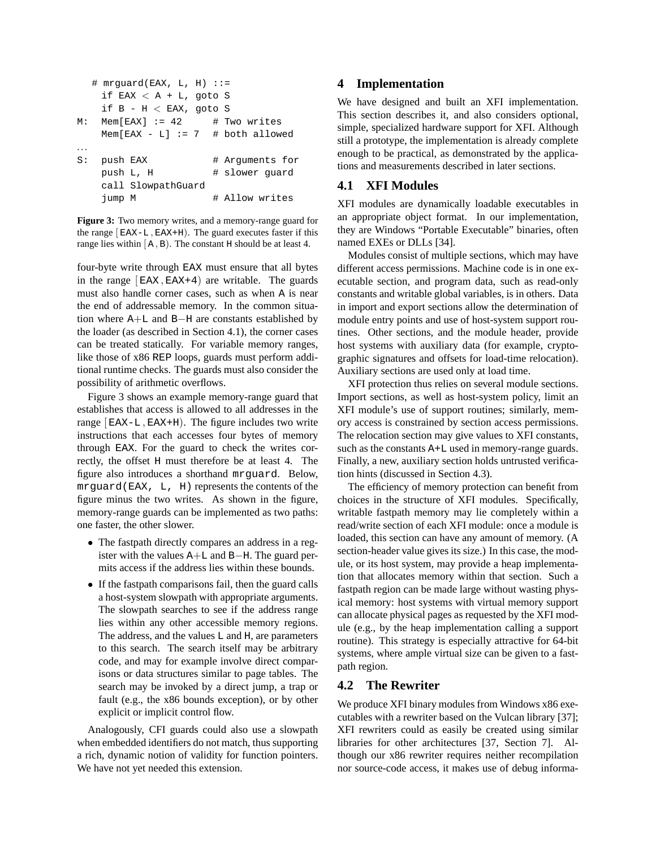```
# mrguard(EAX, L, H) ::=
   if EAX < A + L, goto S
   if B - H < EAX, goto S
M: Mem[EAX] := 42 + Two writes
   Mem[EAX - L] := 7 # both allowed
. . .
S: push EAX # Arguments for
   push L, H # slower guard
   call SlowpathGuard
   jump M \qquad # Allow writes
```
**Figure 3:** Two memory writes, and a memory-range guard for the range  $[EAX-L, EAX+H]$ . The guard executes faster if this range lies within  $[A, B)$ . The constant H should be at least 4.

four-byte write through EAX must ensure that all bytes in the range  $[EAX, EAX+4]$  are writable. The guards must also handle corner cases, such as when A is near the end of addressable memory. In the common situation where A+L and B−H are constants established by the loader (as described in Section 4.1), the corner cases can be treated statically. For variable memory ranges, like those of x86 REP loops, guards must perform additional runtime checks. The guards must also consider the possibility of arithmetic overflows.

Figure 3 shows an example memory-range guard that establishes that access is allowed to all addresses in the range  $[EAX-L, EAX+H]$ . The figure includes two write instructions that each accesses four bytes of memory through EAX. For the guard to check the writes correctly, the offset H must therefore be at least 4. The figure also introduces a shorthand mrguard. Below, mrguard(EAX, L, H) represents the contents of the figure minus the two writes. As shown in the figure, memory-range guards can be implemented as two paths: one faster, the other slower.

- The fastpath directly compares an address in a register with the values A+L and B−H. The guard permits access if the address lies within these bounds.
- If the fastpath comparisons fail, then the guard calls a host-system slowpath with appropriate arguments. The slowpath searches to see if the address range lies within any other accessible memory regions. The address, and the values L and H, are parameters to this search. The search itself may be arbitrary code, and may for example involve direct comparisons or data structures similar to page tables. The search may be invoked by a direct jump, a trap or fault (e.g., the x86 bounds exception), or by other explicit or implicit control flow.

Analogously, CFI guards could also use a slowpath when embedded identifiers do not match, thus supporting a rich, dynamic notion of validity for function pointers. We have not yet needed this extension.

## **4 Implementation**

We have designed and built an XFI implementation. This section describes it, and also considers optional, simple, specialized hardware support for XFI. Although still a prototype, the implementation is already complete enough to be practical, as demonstrated by the applications and measurements described in later sections.

## **4.1 XFI Modules**

XFI modules are dynamically loadable executables in an appropriate object format. In our implementation, they are Windows "Portable Executable" binaries, often named EXEs or DLLs [34].

Modules consist of multiple sections, which may have different access permissions. Machine code is in one executable section, and program data, such as read-only constants and writable global variables, is in others. Data in import and export sections allow the determination of module entry points and use of host-system support routines. Other sections, and the module header, provide host systems with auxiliary data (for example, cryptographic signatures and offsets for load-time relocation). Auxiliary sections are used only at load time.

XFI protection thus relies on several module sections. Import sections, as well as host-system policy, limit an XFI module's use of support routines; similarly, memory access is constrained by section access permissions. The relocation section may give values to XFI constants, such as the constants A+L used in memory-range guards. Finally, a new, auxiliary section holds untrusted verification hints (discussed in Section 4.3).

The efficiency of memory protection can benefit from choices in the structure of XFI modules. Specifically, writable fastpath memory may lie completely within a read/write section of each XFI module: once a module is loaded, this section can have any amount of memory. (A section-header value gives its size.) In this case, the module, or its host system, may provide a heap implementation that allocates memory within that section. Such a fastpath region can be made large without wasting physical memory: host systems with virtual memory support can allocate physical pages as requested by the XFI module (e.g., by the heap implementation calling a support routine). This strategy is especially attractive for 64-bit systems, where ample virtual size can be given to a fastpath region.

### **4.2 The Rewriter**

We produce XFI binary modules from Windows x86 executables with a rewriter based on the Vulcan library [37]; XFI rewriters could as easily be created using similar libraries for other architectures [37, Section 7]. Although our x86 rewriter requires neither recompilation nor source-code access, it makes use of debug informa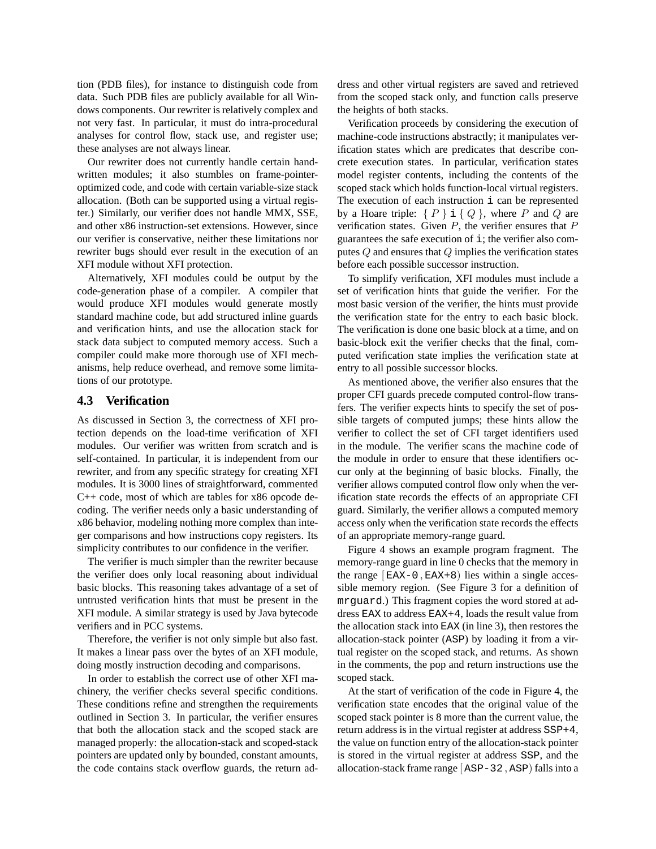tion (PDB files), for instance to distinguish code from data. Such PDB files are publicly available for all Windows components. Our rewriter is relatively complex and not very fast. In particular, it must do intra-procedural analyses for control flow, stack use, and register use; these analyses are not always linear.

Our rewriter does not currently handle certain handwritten modules; it also stumbles on frame-pointeroptimized code, and code with certain variable-size stack allocation. (Both can be supported using a virtual register.) Similarly, our verifier does not handle MMX, SSE, and other x86 instruction-set extensions. However, since our verifier is conservative, neither these limitations nor rewriter bugs should ever result in the execution of an XFI module without XFI protection.

Alternatively, XFI modules could be output by the code-generation phase of a compiler. A compiler that would produce XFI modules would generate mostly standard machine code, but add structured inline guards and verification hints, and use the allocation stack for stack data subject to computed memory access. Such a compiler could make more thorough use of XFI mechanisms, help reduce overhead, and remove some limitations of our prototype.

### **4.3 Verification**

As discussed in Section 3, the correctness of XFI protection depends on the load-time verification of XFI modules. Our verifier was written from scratch and is self-contained. In particular, it is independent from our rewriter, and from any specific strategy for creating XFI modules. It is 3000 lines of straightforward, commented C++ code, most of which are tables for x86 opcode decoding. The verifier needs only a basic understanding of x86 behavior, modeling nothing more complex than integer comparisons and how instructions copy registers. Its simplicity contributes to our confidence in the verifier.

The verifier is much simpler than the rewriter because the verifier does only local reasoning about individual basic blocks. This reasoning takes advantage of a set of untrusted verification hints that must be present in the XFI module. A similar strategy is used by Java bytecode verifiers and in PCC systems.

Therefore, the verifier is not only simple but also fast. It makes a linear pass over the bytes of an XFI module, doing mostly instruction decoding and comparisons.

In order to establish the correct use of other XFI machinery, the verifier checks several specific conditions. These conditions refine and strengthen the requirements outlined in Section 3. In particular, the verifier ensures that both the allocation stack and the scoped stack are managed properly: the allocation-stack and scoped-stack pointers are updated only by bounded, constant amounts, the code contains stack overflow guards, the return address and other virtual registers are saved and retrieved from the scoped stack only, and function calls preserve the heights of both stacks.

Verification proceeds by considering the execution of machine-code instructions abstractly; it manipulates verification states which are predicates that describe concrete execution states. In particular, verification states model register contents, including the contents of the scoped stack which holds function-local virtual registers. The execution of each instruction  $\angle$  can be represented by a Hoare triple:  $\{P\}$  i  $\{Q\}$ , where P and Q are verification states. Given  $P$ , the verifier ensures that  $P$ guarantees the safe execution of  $\exists$ ; the verifier also computes  $Q$  and ensures that  $Q$  implies the verification states before each possible successor instruction.

To simplify verification, XFI modules must include a set of verification hints that guide the verifier. For the most basic version of the verifier, the hints must provide the verification state for the entry to each basic block. The verification is done one basic block at a time, and on basic-block exit the verifier checks that the final, computed verification state implies the verification state at entry to all possible successor blocks.

As mentioned above, the verifier also ensures that the proper CFI guards precede computed control-flow transfers. The verifier expects hints to specify the set of possible targets of computed jumps; these hints allow the verifier to collect the set of CFI target identifiers used in the module. The verifier scans the machine code of the module in order to ensure that these identifiers occur only at the beginning of basic blocks. Finally, the verifier allows computed control flow only when the verification state records the effects of an appropriate CFI guard. Similarly, the verifier allows a computed memory access only when the verification state records the effects of an appropriate memory-range guard.

Figure 4 shows an example program fragment. The memory-range guard in line 0 checks that the memory in the range  $[EAX-0,EAX+8]$  lies within a single accessible memory region. (See Figure 3 for a definition of mrguard.) This fragment copies the word stored at address EAX to address EAX+4, loads the result value from the allocation stack into EAX (in line 3), then restores the allocation-stack pointer (ASP) by loading it from a virtual register on the scoped stack, and returns. As shown in the comments, the pop and return instructions use the scoped stack.

At the start of verification of the code in Figure 4, the verification state encodes that the original value of the scoped stack pointer is 8 more than the current value, the return address is in the virtual register at address SSP+4, the value on function entry of the allocation-stack pointer is stored in the virtual register at address SSP, and the allocation-stack frame range  $[ASP-32,ASP)$  falls into a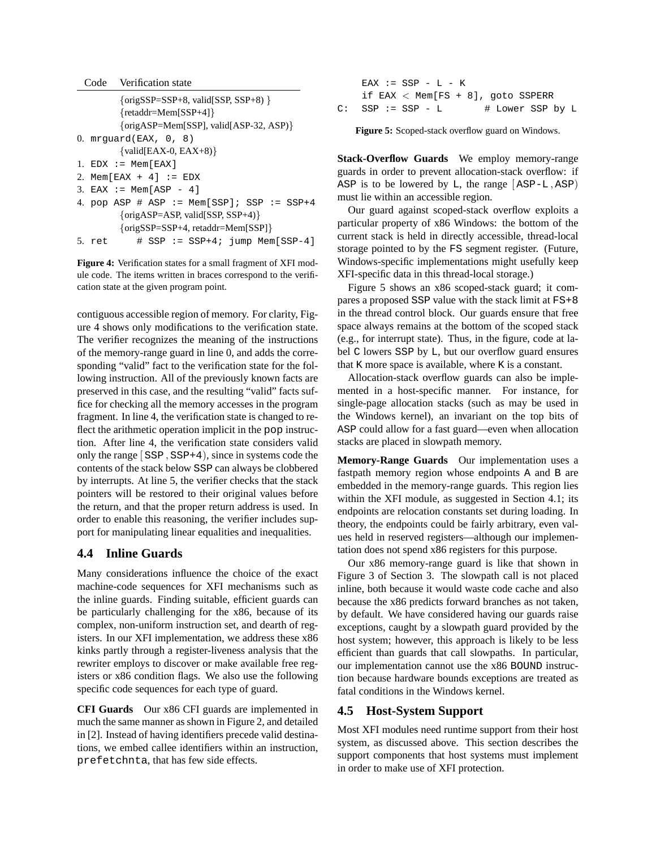|  | Code | Verification state |  |
|--|------|--------------------|--|
|--|------|--------------------|--|

```
{origSSP=SSP+8, valid[SSP, SSP+8) }
        {retaddr=Mem[SSP+4]}
        {origASP=Mem[SSP], valid[ASP-32, ASP)}
0. mrguard(EAX, 0, 8)
        \{valid[EAX-0, EAX+8)\}1. EDX := Mem[EAX]2. Mem[EAX + 4] := EDX
3. EAX := Mem[ASP - 4]4. pop ASP # ASP := Mem[SSP]; SSP := SSP+4{origASP=ASP, valid[SSP, SSP+4)}
        {origSSP=SSP+4, retaddr=Mem[SSP]}
5. ret # SSP := SSP+4; jump Mem[SSP-4]
```
**Figure 4:** Verification states for a small fragment of XFI module code. The items written in braces correspond to the verification state at the given program point.

contiguous accessible region of memory. For clarity, Figure 4 shows only modifications to the verification state. The verifier recognizes the meaning of the instructions of the memory-range guard in line 0, and adds the corresponding "valid" fact to the verification state for the following instruction. All of the previously known facts are preserved in this case, and the resulting "valid" facts suffice for checking all the memory accesses in the program fragment. In line 4, the verification state is changed to reflect the arithmetic operation implicit in the pop instruction. After line 4, the verification state considers valid only the range  $[$  SSP, SSP+4 $]$ , since in systems code the contents of the stack below SSP can always be clobbered by interrupts. At line 5, the verifier checks that the stack pointers will be restored to their original values before the return, and that the proper return address is used. In order to enable this reasoning, the verifier includes support for manipulating linear equalities and inequalities.

## **4.4 Inline Guards**

Many considerations influence the choice of the exact machine-code sequences for XFI mechanisms such as the inline guards. Finding suitable, efficient guards can be particularly challenging for the x86, because of its complex, non-uniform instruction set, and dearth of registers. In our XFI implementation, we address these x86 kinks partly through a register-liveness analysis that the rewriter employs to discover or make available free registers or x86 condition flags. We also use the following specific code sequences for each type of guard.

**CFI Guards** Our x86 CFI guards are implemented in much the same manner as shown in Figure 2, and detailed in [2]. Instead of having identifiers precede valid destinations, we embed callee identifiers within an instruction, prefetchnta, that has few side effects.

EAX  $:=$  SSP  $-$  L  $-$  K if EAX < Mem[FS + 8], goto SSPERR  $C:$  SSP := SSP - L  $#$  Lower SSP by L

**Figure 5:** Scoped-stack overflow guard on Windows.

**Stack-Overflow Guards** We employ memory-range guards in order to prevent allocation-stack overflow: if ASP is to be lowered by  $L$ , the range  $[ASP-L,ASP]$ must lie within an accessible region.

Our guard against scoped-stack overflow exploits a particular property of x86 Windows: the bottom of the current stack is held in directly accessible, thread-local storage pointed to by the FS segment register. (Future, Windows-specific implementations might usefully keep XFI-specific data in this thread-local storage.)

Figure 5 shows an x86 scoped-stack guard; it compares a proposed SSP value with the stack limit at FS+8 in the thread control block. Our guards ensure that free space always remains at the bottom of the scoped stack (e.g., for interrupt state). Thus, in the figure, code at label C lowers SSP by L, but our overflow guard ensures that K more space is available, where K is a constant.

Allocation-stack overflow guards can also be implemented in a host-specific manner. For instance, for single-page allocation stacks (such as may be used in the Windows kernel), an invariant on the top bits of ASP could allow for a fast guard—even when allocation stacks are placed in slowpath memory.

**Memory-Range Guards** Our implementation uses a fastpath memory region whose endpoints A and B are embedded in the memory-range guards. This region lies within the XFI module, as suggested in Section 4.1; its endpoints are relocation constants set during loading. In theory, the endpoints could be fairly arbitrary, even values held in reserved registers—although our implementation does not spend x86 registers for this purpose.

Our x86 memory-range guard is like that shown in Figure 3 of Section 3. The slowpath call is not placed inline, both because it would waste code cache and also because the x86 predicts forward branches as not taken, by default. We have considered having our guards raise exceptions, caught by a slowpath guard provided by the host system; however, this approach is likely to be less efficient than guards that call slowpaths. In particular, our implementation cannot use the x86 BOUND instruction because hardware bounds exceptions are treated as fatal conditions in the Windows kernel.

## **4.5 Host-System Support**

Most XFI modules need runtime support from their host system, as discussed above. This section describes the support components that host systems must implement in order to make use of XFI protection.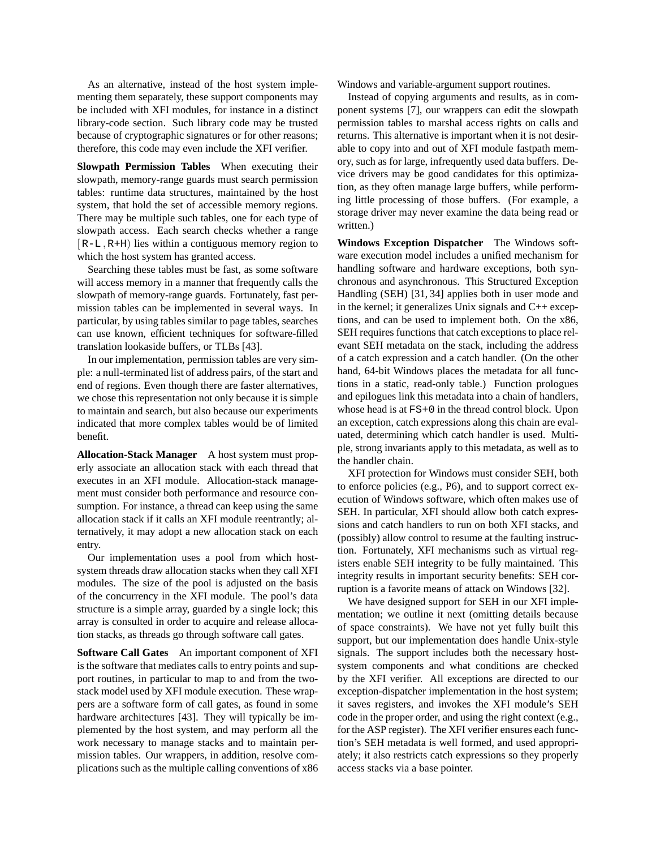As an alternative, instead of the host system implementing them separately, these support components may be included with XFI modules, for instance in a distinct library-code section. Such library code may be trusted because of cryptographic signatures or for other reasons; therefore, this code may even include the XFI verifier.

**Slowpath Permission Tables** When executing their slowpath, memory-range guards must search permission tables: runtime data structures, maintained by the host system, that hold the set of accessible memory regions. There may be multiple such tables, one for each type of slowpath access. Each search checks whether a range  $[R-L, R+H]$  lies within a contiguous memory region to which the host system has granted access.

Searching these tables must be fast, as some software will access memory in a manner that frequently calls the slowpath of memory-range guards. Fortunately, fast permission tables can be implemented in several ways. In particular, by using tables similar to page tables, searches can use known, efficient techniques for software-filled translation lookaside buffers, or TLBs [43].

In our implementation, permission tables are very simple: a null-terminated list of address pairs, of the start and end of regions. Even though there are faster alternatives, we chose this representation not only because it is simple to maintain and search, but also because our experiments indicated that more complex tables would be of limited benefit.

**Allocation-Stack Manager** A host system must properly associate an allocation stack with each thread that executes in an XFI module. Allocation-stack management must consider both performance and resource consumption. For instance, a thread can keep using the same allocation stack if it calls an XFI module reentrantly; alternatively, it may adopt a new allocation stack on each entry.

Our implementation uses a pool from which hostsystem threads draw allocation stacks when they call XFI modules. The size of the pool is adjusted on the basis of the concurrency in the XFI module. The pool's data structure is a simple array, guarded by a single lock; this array is consulted in order to acquire and release allocation stacks, as threads go through software call gates.

**Software Call Gates** An important component of XFI is the software that mediates calls to entry points and support routines, in particular to map to and from the twostack model used by XFI module execution. These wrappers are a software form of call gates, as found in some hardware architectures [43]. They will typically be implemented by the host system, and may perform all the work necessary to manage stacks and to maintain permission tables. Our wrappers, in addition, resolve complications such as the multiple calling conventions of x86 Windows and variable-argument support routines.

Instead of copying arguments and results, as in component systems [7], our wrappers can edit the slowpath permission tables to marshal access rights on calls and returns. This alternative is important when it is not desirable to copy into and out of XFI module fastpath memory, such as for large, infrequently used data buffers. Device drivers may be good candidates for this optimization, as they often manage large buffers, while performing little processing of those buffers. (For example, a storage driver may never examine the data being read or written.)

**Windows Exception Dispatcher** The Windows software execution model includes a unified mechanism for handling software and hardware exceptions, both synchronous and asynchronous. This Structured Exception Handling (SEH) [31, 34] applies both in user mode and in the kernel; it generalizes Unix signals and C++ exceptions, and can be used to implement both. On the x86, SEH requires functions that catch exceptions to place relevant SEH metadata on the stack, including the address of a catch expression and a catch handler. (On the other hand, 64-bit Windows places the metadata for all functions in a static, read-only table.) Function prologues and epilogues link this metadata into a chain of handlers, whose head is at  $FS+0$  in the thread control block. Upon an exception, catch expressions along this chain are evaluated, determining which catch handler is used. Multiple, strong invariants apply to this metadata, as well as to the handler chain.

XFI protection for Windows must consider SEH, both to enforce policies (e.g., P6), and to support correct execution of Windows software, which often makes use of SEH. In particular, XFI should allow both catch expressions and catch handlers to run on both XFI stacks, and (possibly) allow control to resume at the faulting instruction. Fortunately, XFI mechanisms such as virtual registers enable SEH integrity to be fully maintained. This integrity results in important security benefits: SEH corruption is a favorite means of attack on Windows [32].

We have designed support for SEH in our XFI implementation; we outline it next (omitting details because of space constraints). We have not yet fully built this support, but our implementation does handle Unix-style signals. The support includes both the necessary hostsystem components and what conditions are checked by the XFI verifier. All exceptions are directed to our exception-dispatcher implementation in the host system; it saves registers, and invokes the XFI module's SEH code in the proper order, and using the right context (e.g., for the ASP register). The XFI verifier ensures each function's SEH metadata is well formed, and used appropriately; it also restricts catch expressions so they properly access stacks via a base pointer.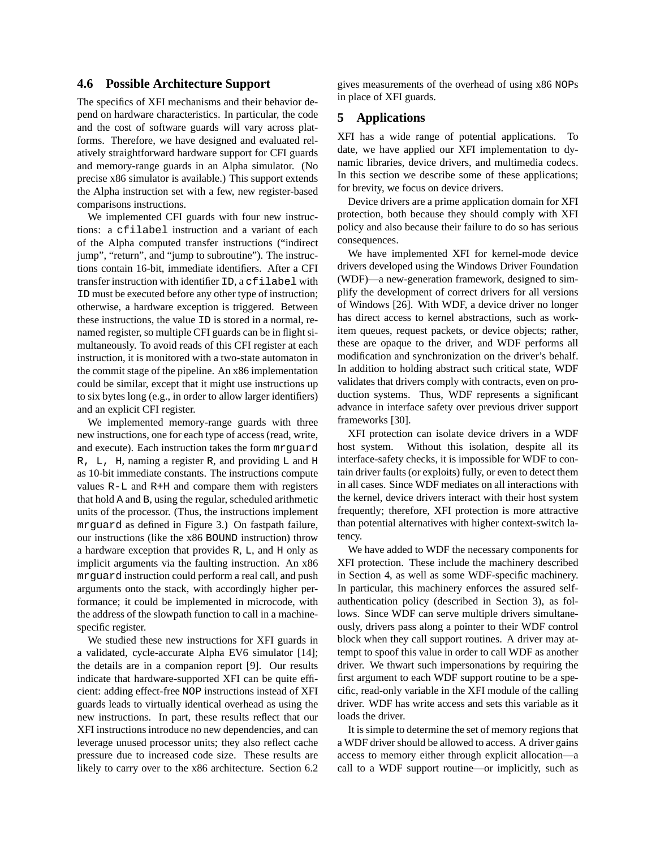### **4.6 Possible Architecture Support**

The specifics of XFI mechanisms and their behavior depend on hardware characteristics. In particular, the code and the cost of software guards will vary across platforms. Therefore, we have designed and evaluated relatively straightforward hardware support for CFI guards and memory-range guards in an Alpha simulator. (No precise x86 simulator is available.) This support extends the Alpha instruction set with a few, new register-based comparisons instructions.

We implemented CFI guards with four new instructions: a cfilabel instruction and a variant of each of the Alpha computed transfer instructions ("indirect jump", "return", and "jump to subroutine"). The instructions contain 16-bit, immediate identifiers. After a CFI transfer instruction with identifier ID, a cfilabel with ID must be executed before any other type of instruction; otherwise, a hardware exception is triggered. Between these instructions, the value ID is stored in a normal, renamed register, so multiple CFI guards can be in flight simultaneously. To avoid reads of this CFI register at each instruction, it is monitored with a two-state automaton in the commit stage of the pipeline. An x86 implementation could be similar, except that it might use instructions up to six bytes long (e.g., in order to allow larger identifiers) and an explicit CFI register.

We implemented memory-range guards with three new instructions, one for each type of access (read, write, and execute). Each instruction takes the form mrguard R, L, H, naming a register R, and providing L and H as 10-bit immediate constants. The instructions compute values R-L and R+H and compare them with registers that hold A and B, using the regular, scheduled arithmetic units of the processor. (Thus, the instructions implement mrguard as defined in Figure 3.) On fastpath failure, our instructions (like the x86 BOUND instruction) throw a hardware exception that provides R, L, and H only as implicit arguments via the faulting instruction. An x86 mrguard instruction could perform a real call, and push arguments onto the stack, with accordingly higher performance; it could be implemented in microcode, with the address of the slowpath function to call in a machinespecific register.

We studied these new instructions for XFI guards in a validated, cycle-accurate Alpha EV6 simulator [14]; the details are in a companion report [9]. Our results indicate that hardware-supported XFI can be quite efficient: adding effect-free NOP instructions instead of XFI guards leads to virtually identical overhead as using the new instructions. In part, these results reflect that our XFI instructions introduce no new dependencies, and can leverage unused processor units; they also reflect cache pressure due to increased code size. These results are likely to carry over to the x86 architecture. Section 6.2 gives measurements of the overhead of using x86 NOPs in place of XFI guards.

### **5 Applications**

XFI has a wide range of potential applications. To date, we have applied our XFI implementation to dynamic libraries, device drivers, and multimedia codecs. In this section we describe some of these applications; for brevity, we focus on device drivers.

Device drivers are a prime application domain for XFI protection, both because they should comply with XFI policy and also because their failure to do so has serious consequences.

We have implemented XFI for kernel-mode device drivers developed using the Windows Driver Foundation (WDF)—a new-generation framework, designed to simplify the development of correct drivers for all versions of Windows [26]. With WDF, a device driver no longer has direct access to kernel abstractions, such as workitem queues, request packets, or device objects; rather, these are opaque to the driver, and WDF performs all modification and synchronization on the driver's behalf. In addition to holding abstract such critical state, WDF validates that drivers comply with contracts, even on production systems. Thus, WDF represents a significant advance in interface safety over previous driver support frameworks [30].

XFI protection can isolate device drivers in a WDF host system. Without this isolation, despite all its interface-safety checks, it is impossible for WDF to contain driver faults (or exploits) fully, or even to detect them in all cases. Since WDF mediates on all interactions with the kernel, device drivers interact with their host system frequently; therefore, XFI protection is more attractive than potential alternatives with higher context-switch latency.

We have added to WDF the necessary components for XFI protection. These include the machinery described in Section 4, as well as some WDF-specific machinery. In particular, this machinery enforces the assured selfauthentication policy (described in Section 3), as follows. Since WDF can serve multiple drivers simultaneously, drivers pass along a pointer to their WDF control block when they call support routines. A driver may attempt to spoof this value in order to call WDF as another driver. We thwart such impersonations by requiring the first argument to each WDF support routine to be a specific, read-only variable in the XFI module of the calling driver. WDF has write access and sets this variable as it loads the driver.

It is simple to determine the set of memory regions that a WDF driver should be allowed to access. A driver gains access to memory either through explicit allocation—a call to a WDF support routine—or implicitly, such as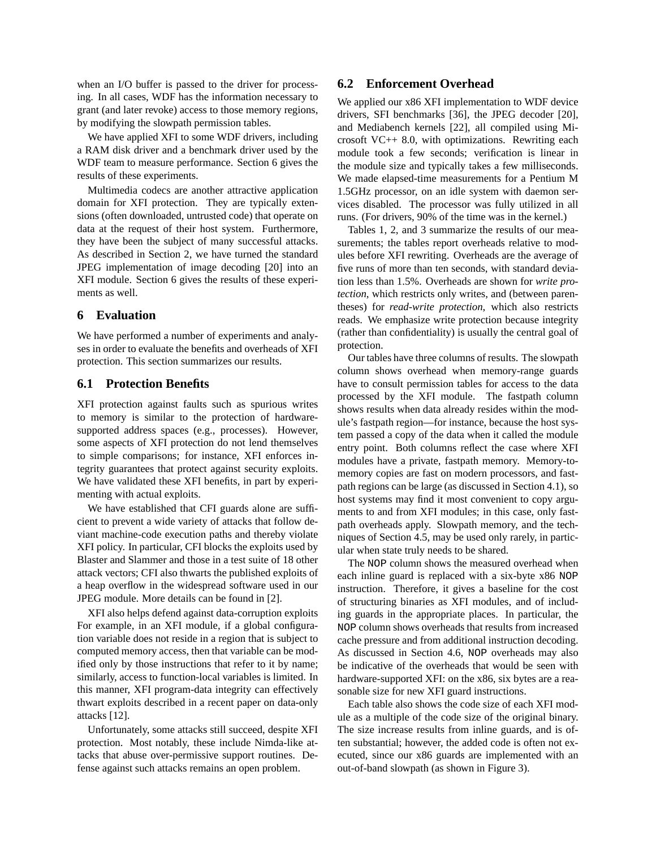when an I/O buffer is passed to the driver for processing. In all cases, WDF has the information necessary to grant (and later revoke) access to those memory regions, by modifying the slowpath permission tables.

We have applied XFI to some WDF drivers, including a RAM disk driver and a benchmark driver used by the WDF team to measure performance. Section 6 gives the results of these experiments.

Multimedia codecs are another attractive application domain for XFI protection. They are typically extensions (often downloaded, untrusted code) that operate on data at the request of their host system. Furthermore, they have been the subject of many successful attacks. As described in Section 2, we have turned the standard JPEG implementation of image decoding [20] into an XFI module. Section 6 gives the results of these experiments as well.

### **6 Evaluation**

We have performed a number of experiments and analyses in order to evaluate the benefits and overheads of XFI protection. This section summarizes our results.

### **6.1 Protection Benefits**

XFI protection against faults such as spurious writes to memory is similar to the protection of hardwaresupported address spaces (e.g., processes). However, some aspects of XFI protection do not lend themselves to simple comparisons; for instance, XFI enforces integrity guarantees that protect against security exploits. We have validated these XFI benefits, in part by experimenting with actual exploits.

We have established that CFI guards alone are sufficient to prevent a wide variety of attacks that follow deviant machine-code execution paths and thereby violate XFI policy. In particular, CFI blocks the exploits used by Blaster and Slammer and those in a test suite of 18 other attack vectors; CFI also thwarts the published exploits of a heap overflow in the widespread software used in our JPEG module. More details can be found in [2].

XFI also helps defend against data-corruption exploits For example, in an XFI module, if a global configuration variable does not reside in a region that is subject to computed memory access, then that variable can be modified only by those instructions that refer to it by name; similarly, access to function-local variables is limited. In this manner, XFI program-data integrity can effectively thwart exploits described in a recent paper on data-only attacks [12].

Unfortunately, some attacks still succeed, despite XFI protection. Most notably, these include Nimda-like attacks that abuse over-permissive support routines. Defense against such attacks remains an open problem.

### **6.2 Enforcement Overhead**

We applied our x86 XFI implementation to WDF device drivers, SFI benchmarks [36], the JPEG decoder [20], and Mediabench kernels [22], all compiled using Microsoft VC++ 8.0, with optimizations. Rewriting each module took a few seconds; verification is linear in the module size and typically takes a few milliseconds. We made elapsed-time measurements for a Pentium M 1.5GHz processor, on an idle system with daemon services disabled. The processor was fully utilized in all runs. (For drivers, 90% of the time was in the kernel.)

Tables 1, 2, and 3 summarize the results of our measurements; the tables report overheads relative to modules before XFI rewriting. Overheads are the average of five runs of more than ten seconds, with standard deviation less than 1.5%. Overheads are shown for *write protection*, which restricts only writes, and (between parentheses) for *read-write protection*, which also restricts reads. We emphasize write protection because integrity (rather than confidentiality) is usually the central goal of protection.

Our tables have three columns of results. The slowpath column shows overhead when memory-range guards have to consult permission tables for access to the data processed by the XFI module. The fastpath column shows results when data already resides within the module's fastpath region—for instance, because the host system passed a copy of the data when it called the module entry point. Both columns reflect the case where XFI modules have a private, fastpath memory. Memory-tomemory copies are fast on modern processors, and fastpath regions can be large (as discussed in Section 4.1), so host systems may find it most convenient to copy arguments to and from XFI modules; in this case, only fastpath overheads apply. Slowpath memory, and the techniques of Section 4.5, may be used only rarely, in particular when state truly needs to be shared.

The NOP column shows the measured overhead when each inline guard is replaced with a six-byte x86 NOP instruction. Therefore, it gives a baseline for the cost of structuring binaries as XFI modules, and of including guards in the appropriate places. In particular, the NOP column shows overheads that results from increased cache pressure and from additional instruction decoding. As discussed in Section 4.6, NOP overheads may also be indicative of the overheads that would be seen with hardware-supported XFI: on the x86, six bytes are a reasonable size for new XFI guard instructions.

Each table also shows the code size of each XFI module as a multiple of the code size of the original binary. The size increase results from inline guards, and is often substantial; however, the added code is often not executed, since our x86 guards are implemented with an out-of-band slowpath (as shown in Figure 3).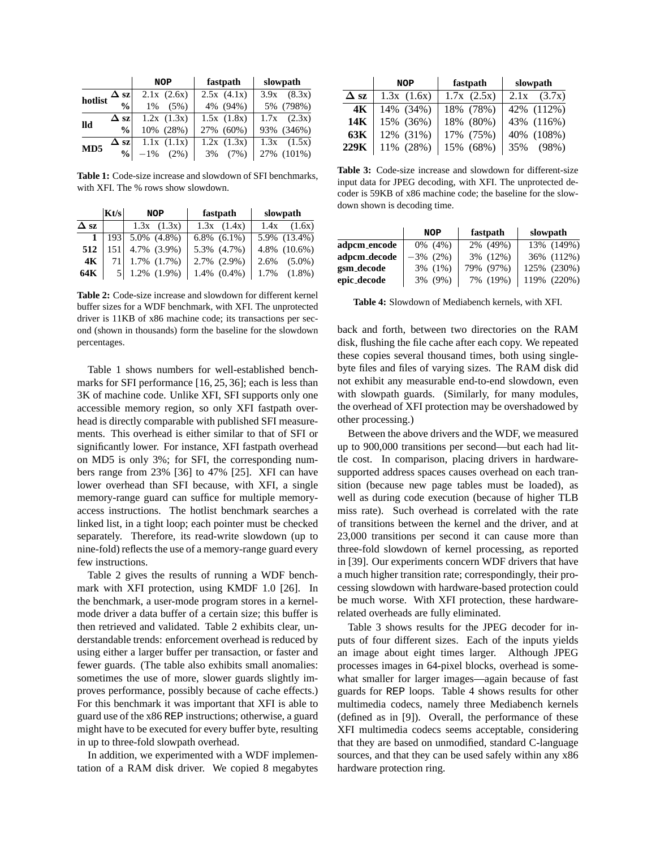|         |                           | <b>NOP</b>                | fastpath   | slowpath        |
|---------|---------------------------|---------------------------|------------|-----------------|
| hotlist |                           | $\Delta$ sz   2.1x (2.6x) | 2.5x(4.1x) | $3.9x$ $(8.3x)$ |
|         | $\mathbf{0}_{\mathbf{0}}$ | $1\%$ (5%)                | 4% (94%)   | 5% (798%)       |
| lld     | $\Delta$ szl              | 1.2x(1.3x)                | 1.5x(1.8x) | $1.7x$ $(2.3x)$ |
|         | $\frac{0}{0}$             | 10% (28%)                 | 27% (60%)  | 93% (346%)      |
| MD5     |                           | $\Delta$ sz   1.1x (1.1x) | 1.2x(1.3x) | $1.3x$ $(1.5x)$ |
|         |                           | $ 9/6 $ -1% (2%)          | 3% (7%)    | 27% (101%)      |

**Table 1:** Code-size increase and slowdown of SFI benchmarks, with XFI. The % rows show slowdown.

|             | Kt/s            | <b>NOP</b>                | fastpath          | slowpath          |
|-------------|-----------------|---------------------------|-------------------|-------------------|
| $\Delta$ sz |                 | $1.3x$ $(1.3x)$           | $1.3x$ $(1.4x)$   | $1.4x$ $(1.6x)$   |
|             |                 | 1   193   5.0% $(4.8\%)$  | $6.8\%$ $(6.1\%)$ | 5.9% (13.4%)      |
| 512         | 151             | 4.7% (3.9%)               | 5.3% (4.7%)       | 4.8% (10.6%)      |
| 4K          | 71 <sup> </sup> | $1.7\%$ $(1.7\%)$         | $2.7\%$ $(2.9\%)$ | $2.6\%$ $(5.0\%)$ |
| 64K         |                 | $5 \mid 1.2\% \; (1.9\%)$ | $1.4\%$ $(0.4\%)$ | $1.7\%$ $(1.8\%)$ |

**Table 2:** Code-size increase and slowdown for different kernel buffer sizes for a WDF benchmark, with XFI. The unprotected driver is 11KB of x86 machine code; its transactions per second (shown in thousands) form the baseline for the slowdown percentages.

Table 1 shows numbers for well-established benchmarks for SFI performance [16, 25, 36]; each is less than 3K of machine code. Unlike XFI, SFI supports only one accessible memory region, so only XFI fastpath overhead is directly comparable with published SFI measurements. This overhead is either similar to that of SFI or significantly lower. For instance, XFI fastpath overhead on MD5 is only 3%; for SFI, the corresponding numbers range from 23% [36] to 47% [25]. XFI can have lower overhead than SFI because, with XFI, a single memory-range guard can suffice for multiple memoryaccess instructions. The hotlist benchmark searches a linked list, in a tight loop; each pointer must be checked separately. Therefore, its read-write slowdown (up to nine-fold) reflects the use of a memory-range guard every few instructions.

Table 2 gives the results of running a WDF benchmark with XFI protection, using KMDF 1.0 [26]. In the benchmark, a user-mode program stores in a kernelmode driver a data buffer of a certain size; this buffer is then retrieved and validated. Table 2 exhibits clear, understandable trends: enforcement overhead is reduced by using either a larger buffer per transaction, or faster and fewer guards. (The table also exhibits small anomalies: sometimes the use of more, slower guards slightly improves performance, possibly because of cache effects.) For this benchmark it was important that XFI is able to guard use of the x86 REP instructions; otherwise, a guard might have to be executed for every buffer byte, resulting in up to three-fold slowpath overhead.

In addition, we experimented with a WDF implementation of a RAM disk driver. We copied 8 megabytes

|             | <b>NOP</b> | fastpath        | slowpath        |
|-------------|------------|-----------------|-----------------|
| $\Delta$ sz | 1.3x(1.6x) | $1.7x$ $(2.5x)$ | $2.1x$ $(3.7x)$ |
| 4K          | 14% (34%)  | 18% (78%)       | 42% (112%)      |
| 14K         | 15% (36%)  | 18% (80%)       | 43% (116%)      |
| 63K         | 12% (31%)  | 17% (75%)       | 40% (108%)      |
| 229K        | 11% (28%)  | 15% (68%)       | 35% (98%)       |

**Table 3:** Code-size increase and slowdown for different-size input data for JPEG decoding, with XFI. The unprotected decoder is 59KB of x86 machine code; the baseline for the slowdown shown is decoding time.

|              | <b>NOP</b>  | fastpath     | slowpath    |
|--------------|-------------|--------------|-------------|
| adpcm_encode | $0\%$ (4%)  | 2% (49%)     | 13% (149%)  |
| adpcm_decode | $-3\%$ (2%) | 3% (12%)     | 36% (112%)  |
| gsm_decode   | 3% (1%)     | (97%)<br>79% | 125% (230%) |
| epic_decode  | 3% (9%)     | (19%)<br>7%  | 119% (220%) |

**Table 4:** Slowdown of Mediabench kernels, with XFI.

back and forth, between two directories on the RAM disk, flushing the file cache after each copy. We repeated these copies several thousand times, both using singlebyte files and files of varying sizes. The RAM disk did not exhibit any measurable end-to-end slowdown, even with slowpath guards. (Similarly, for many modules, the overhead of XFI protection may be overshadowed by other processing.)

Between the above drivers and the WDF, we measured up to 900,000 transitions per second—but each had little cost. In comparison, placing drivers in hardwaresupported address spaces causes overhead on each transition (because new page tables must be loaded), as well as during code execution (because of higher TLB miss rate). Such overhead is correlated with the rate of transitions between the kernel and the driver, and at 23,000 transitions per second it can cause more than three-fold slowdown of kernel processing, as reported in [39]. Our experiments concern WDF drivers that have a much higher transition rate; correspondingly, their processing slowdown with hardware-based protection could be much worse. With XFI protection, these hardwarerelated overheads are fully eliminated.

Table 3 shows results for the JPEG decoder for inputs of four different sizes. Each of the inputs yields an image about eight times larger. Although JPEG processes images in 64-pixel blocks, overhead is somewhat smaller for larger images—again because of fast guards for REP loops. Table 4 shows results for other multimedia codecs, namely three Mediabench kernels (defined as in [9]). Overall, the performance of these XFI multimedia codecs seems acceptable, considering that they are based on unmodified, standard C-language sources, and that they can be used safely within any x86 hardware protection ring.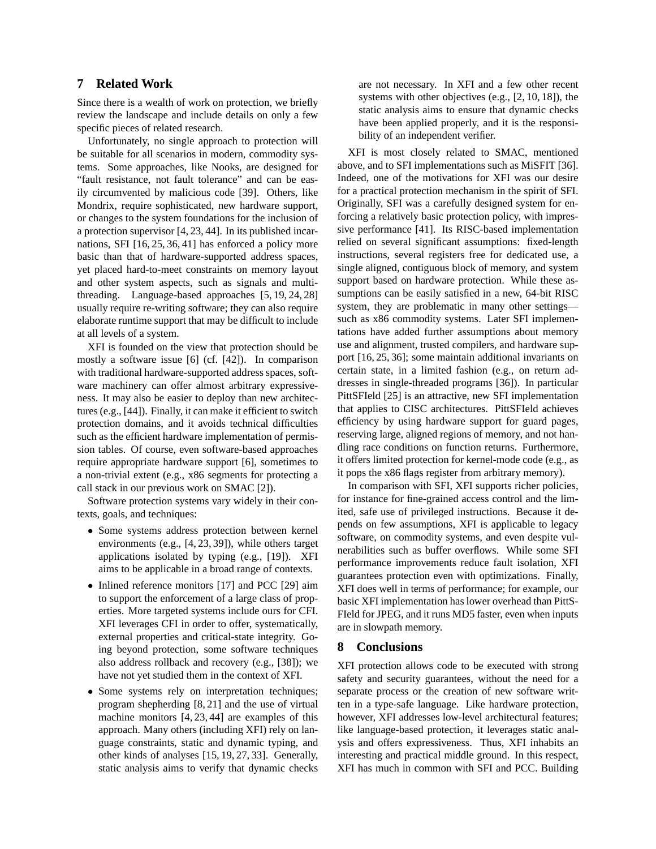## **7 Related Work**

Since there is a wealth of work on protection, we briefly review the landscape and include details on only a few specific pieces of related research.

Unfortunately, no single approach to protection will be suitable for all scenarios in modern, commodity systems. Some approaches, like Nooks, are designed for "fault resistance, not fault tolerance" and can be easily circumvented by malicious code [39]. Others, like Mondrix, require sophisticated, new hardware support, or changes to the system foundations for the inclusion of a protection supervisor [4, 23, 44]. In its published incarnations, SFI [16, 25, 36, 41] has enforced a policy more basic than that of hardware-supported address spaces, yet placed hard-to-meet constraints on memory layout and other system aspects, such as signals and multithreading. Language-based approaches [5, 19, 24, 28] usually require re-writing software; they can also require elaborate runtime support that may be difficult to include at all levels of a system.

XFI is founded on the view that protection should be mostly a software issue [6] (cf. [42]). In comparison with traditional hardware-supported address spaces, software machinery can offer almost arbitrary expressiveness. It may also be easier to deploy than new architectures (e.g., [44]). Finally, it can make it efficient to switch protection domains, and it avoids technical difficulties such as the efficient hardware implementation of permission tables. Of course, even software-based approaches require appropriate hardware support [6], sometimes to a non-trivial extent (e.g., x86 segments for protecting a call stack in our previous work on SMAC [2]).

Software protection systems vary widely in their contexts, goals, and techniques:

- Some systems address protection between kernel environments (e.g., [4, 23, 39]), while others target applications isolated by typing (e.g., [19]). XFI aims to be applicable in a broad range of contexts.
- Inlined reference monitors [17] and PCC [29] aim to support the enforcement of a large class of properties. More targeted systems include ours for CFI. XFI leverages CFI in order to offer, systematically, external properties and critical-state integrity. Going beyond protection, some software techniques also address rollback and recovery (e.g., [38]); we have not yet studied them in the context of XFI.
- Some systems rely on interpretation techniques; program shepherding [8, 21] and the use of virtual machine monitors [4, 23, 44] are examples of this approach. Many others (including XFI) rely on language constraints, static and dynamic typing, and other kinds of analyses [15, 19, 27, 33]. Generally, static analysis aims to verify that dynamic checks

are not necessary. In XFI and a few other recent systems with other objectives (e.g., [2, 10, 18]), the static analysis aims to ensure that dynamic checks have been applied properly, and it is the responsibility of an independent verifier.

XFI is most closely related to SMAC, mentioned above, and to SFI implementations such as MiSFIT [36]. Indeed, one of the motivations for XFI was our desire for a practical protection mechanism in the spirit of SFI. Originally, SFI was a carefully designed system for enforcing a relatively basic protection policy, with impressive performance [41]. Its RISC-based implementation relied on several significant assumptions: fixed-length instructions, several registers free for dedicated use, a single aligned, contiguous block of memory, and system support based on hardware protection. While these assumptions can be easily satisfied in a new, 64-bit RISC system, they are problematic in many other settings such as x86 commodity systems. Later SFI implementations have added further assumptions about memory use and alignment, trusted compilers, and hardware support [16, 25, 36]; some maintain additional invariants on certain state, in a limited fashion (e.g., on return addresses in single-threaded programs [36]). In particular PittSFIeld [25] is an attractive, new SFI implementation that applies to CISC architectures. PittSFIeld achieves efficiency by using hardware support for guard pages, reserving large, aligned regions of memory, and not handling race conditions on function returns. Furthermore, it offers limited protection for kernel-mode code (e.g., as it pops the x86 flags register from arbitrary memory).

In comparison with SFI, XFI supports richer policies, for instance for fine-grained access control and the limited, safe use of privileged instructions. Because it depends on few assumptions, XFI is applicable to legacy software, on commodity systems, and even despite vulnerabilities such as buffer overflows. While some SFI performance improvements reduce fault isolation, XFI guarantees protection even with optimizations. Finally, XFI does well in terms of performance; for example, our basic XFI implementation has lower overhead than PittS-FIeld for JPEG, and it runs MD5 faster, even when inputs are in slowpath memory.

### **8 Conclusions**

XFI protection allows code to be executed with strong safety and security guarantees, without the need for a separate process or the creation of new software written in a type-safe language. Like hardware protection, however, XFI addresses low-level architectural features; like language-based protection, it leverages static analysis and offers expressiveness. Thus, XFI inhabits an interesting and practical middle ground. In this respect, XFI has much in common with SFI and PCC. Building